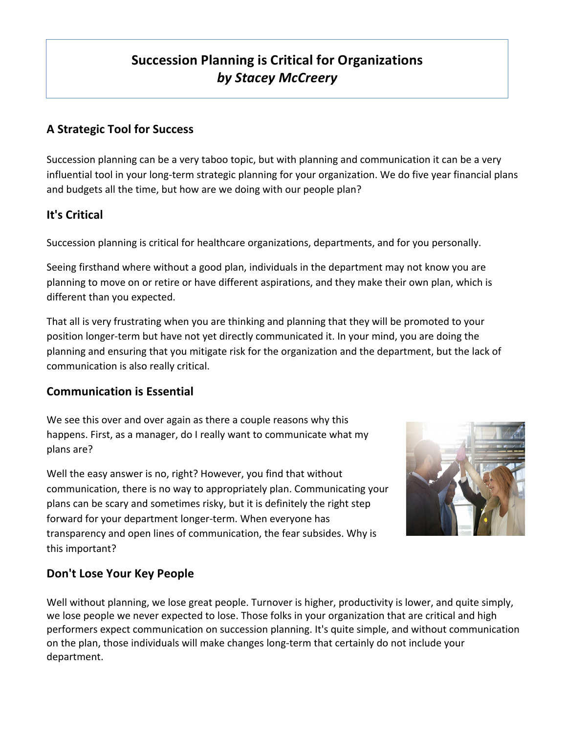# **Succession Planning is Critical for Organizations** *by Stacey McCreery*

## **A Strategic Tool for Success**

Succession planning can be a very taboo topic, but with planning and communication it can be a very influential tool in your long-term strategic planning for your organization. We do five year financial plans and budgets all the time, but how are we doing with our people plan?

## **It's Critical**

Succession planning is critical for healthcare organizations, departments, and for you personally.

Seeing firsthand where without a good plan, individuals in the department may not know you are planning to move on or retire or have different aspirations, and they make their own plan, which is different than you expected.

That all is very frustrating when you are thinking and planning that they will be promoted to your position longer-term but have not yet directly communicated it. In your mind, you are doing the planning and ensuring that you mitigate risk for the organization and the department, but the lack of communication is also really critical.

#### **Communication is Essential**

We see this over and over again as there a couple reasons why this happens. First, as a manager, do I really want to communicate what my plans are?

Well the easy answer is no, right? However, you find that without communication, there is no way to appropriately plan. Communicating your plans can be scary and sometimes risky, but it is definitely the right step forward for your department longer-term. When everyone has transparency and open lines of communication, the fear subsides. Why is this important?



### **Don't Lose Your Key People**

Well without planning, we lose great people. Turnover is higher, productivity is lower, and quite simply, we lose people we never expected to lose. Those folks in your organization that are critical and high performers expect communication on succession planning. It's quite simple, and without communication on the plan, those individuals will make changes long-term that certainly do not include your department.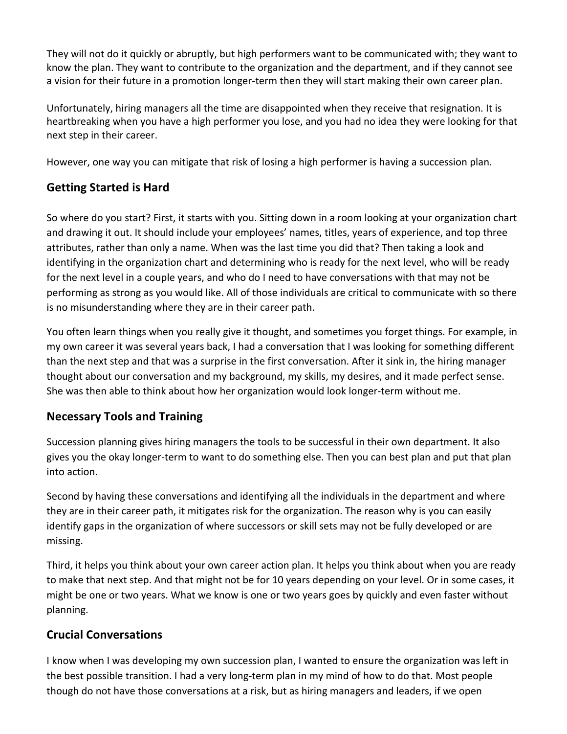They will not do it quickly or abruptly, but high performers want to be communicated with; they want to know the plan. They want to contribute to the organization and the department, and if they cannot see a vision for their future in a promotion longer-term then they will start making their own career plan.

Unfortunately, hiring managers all the time are disappointed when they receive that resignation. It is heartbreaking when you have a high performer you lose, and you had no idea they were looking for that next step in their career.

However, one way you can mitigate that risk of losing a high performer is having a succession plan.

## **Getting Started is Hard**

So where do you start? First, it starts with you. Sitting down in a room looking at your organization chart and drawing it out. It should include your employees' names, titles, years of experience, and top three attributes, rather than only a name. When was the last time you did that? Then taking a look and identifying in the organization chart and determining who is ready for the next level, who will be ready for the next level in a couple years, and who do I need to have conversations with that may not be performing as strong as you would like. All of those individuals are critical to communicate with so there is no misunderstanding where they are in their career path.

You often learn things when you really give it thought, and sometimes you forget things. For example, in my own career it was several years back, I had a conversation that I was looking for something different than the next step and that was a surprise in the first conversation. After it sink in, the hiring manager thought about our conversation and my background, my skills, my desires, and it made perfect sense. She was then able to think about how her organization would look longer-term without me.

### **Necessary Tools and Training**

Succession planning gives hiring managers the tools to be successful in their own department. It also gives you the okay longer-term to want to do something else. Then you can best plan and put that plan into action.

Second by having these conversations and identifying all the individuals in the department and where they are in their career path, it mitigates risk for the organization. The reason why is you can easily identify gaps in the organization of where successors or skill sets may not be fully developed or are missing. 

Third, it helps you think about your own career action plan. It helps you think about when you are ready to make that next step. And that might not be for 10 years depending on your level. Or in some cases, it might be one or two years. What we know is one or two years goes by quickly and even faster without planning. 

### **Crucial Conversations**

I know when I was developing my own succession plan, I wanted to ensure the organization was left in the best possible transition. I had a very long-term plan in my mind of how to do that. Most people though do not have those conversations at a risk, but as hiring managers and leaders, if we open